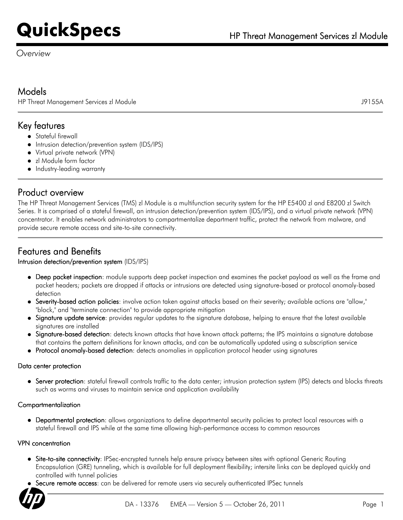*Overview*

# Models

HP Threat Management Services zl Module J9155A

# Key features

- Stateful firewall
- Intrusion detection/prevention system (IDS/IPS)
- Virtual private network (VPN)
- zl Module form factor
- Industry-leading warranty

# Product overview

The HP Threat Management Services (TMS) zl Module is a multifunction security system for the HP E5400 zl and E8200 zl Switch Series. It is comprised of a stateful firewall, an intrusion detection/prevention system (IDS/IPS), and a virtual private network (VPN) concentrator. It enables network administrators to compartmentalize department traffic, protect the network from malware, and provide secure remote access and site-to-site connectivity.

# Features and Benefits

## Intrusion detection/prevention system (IDS/IPS)

- Deep packet inspection: module supports deep packet inspection and examines the packet payload as well as the frame and packet headers; packets are dropped if attacks or intrusions are detected using signature-based or protocol anomaly-based detection
- Severity-based action policies: involve action taken against attacks based on their severity; available actions are "allow," "block," and "terminate connection" to provide appropriate mitigation
- Signature update service: provides regular updates to the signature database, helping to ensure that the latest available signatures are installed
- Signature-based detection: detects known attacks that have known attack patterns; the IPS maintains a signature database that contains the pattern definitions for known attacks, and can be automatically updated using a subscription service
- Protocol anomaly-based detection: detects anomalies in application protocol header using signatures

#### Data center protection

Server protection: stateful firewall controls traffic to the data center; intrusion protection system (IPS) detects and blocks threats such as worms and viruses to maintain service and application availability

## Compartmentalization

Departmental protection: allows organizations to define departmental security policies to protect local resources with a stateful firewall and IPS while at the same time allowing high-performance access to common resources

#### VPN concentration

- Site-to-site connectivity: IPSec-encrypted tunnels help ensure privacy between sites with optional Generic Routing Encapsulation (GRE) tunneling, which is available for full deployment flexibility; intersite links can be deployed quickly and controlled with tunnel policies
- Secure remote access: can be delivered for remote users via securely authenticated IPSec tunnels

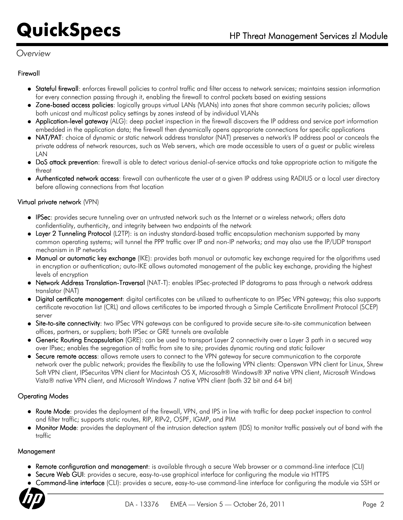# *Overview*

### Firewall

- Stateful firewall: enforces firewall policies to control traffic and filter access to network services; maintains session information for every connection passing through it, enabling the firewall to control packets based on existing sessions
- Zone-based access policies: logically groups virtual LANs (VLANs) into zones that share common security policies; allows both unicast and multicast policy settings by zones instead of by individual VLANs
- Application-level gateway (ALG): deep packet inspection in the firewall discovers the IP address and service port information embedded in the application data; the firewall then dynamically opens appropriate connections for specific applications
- NAT/PAT: choice of dynamic or static network address translator (NAT) preserves a network's IP address pool or conceals the private address of network resources, such as Web servers, which are made accessible to users of a guest or public wireless LAN
- DoS attack prevention: firewall is able to detect various denial-of-service attacks and take appropriate action to mitigate the threat
- Authenticated network access: firewall can authenticate the user at a given IP address using RADIUS or a local user directory before allowing connections from that location

### Virtual private network (VPN)

- IPSec: provides secure tunneling over an untrusted network such as the Internet or a wireless network; offers data confidentiality, authenticity, and integrity between two endpoints of the network
- Layer 2 Tunneling Protocol (L2TP): is an industry standard-based traffic encapsulation mechanism supported by many common operating systems; will tunnel the PPP traffic over IP and non-IP networks; and may also use the IP/UDP transport mechanism in IP networks
- Manual or automatic key exchange (IKE): provides both manual or automatic key exchange required for the algorithms used in encryption or authentication; auto-IKE allows automated management of the public key exchange, providing the highest levels of encryption
- Network Address Translation-Traversal (NAT-T): enables IPSec-protected IP datagrams to pass through a network address translator (NAT)
- Digital certificate management: digital certificates can be utilized to authenticate to an IPSec VPN gateway; this also supports certificate revocation list (CRL) and allows certificates to be imported through a Simple Certificate Enrollment Protocol (SCEP) server
- **Site-to-site connectivity**: two IPSec VPN gateways can be configured to provide secure site-to-site communication between offices, partners, or suppliers; both IPSec or GRE tunnels are available
- **Generic Routing Encapsulation** (GRE): can be used to transport Layer 2 connectivity over a Layer 3 path in a secured way over IPsec; enables the segregation of traffic from site to site; provides dynamic routing and static failover
- Secure remote access: allows remote users to connect to the VPN gateway for secure communication to the corporate network over the public network; provides the flexibility to use the following VPN clients: Openswan VPN client for Linux, Shrew Soft VPN client, IPSecuritas VPN client for Macintosh OS X, Microsoft® Windows® XP native VPN client, Microsoft Windows Vista® native VPN client, and Microsoft Windows 7 native VPN client (both 32 bit and 64 bit)

## Operating Modes

- Route Mode: provides the deployment of the firewall, VPN, and IPS in line with traffic for deep packet inspection to control and filter traffic; supports static routes, RIP, RIPv2, OSPF, IGMP, and PIM
- Monitor Mode: provides the deployment of the intrusion detection system (IDS) to monitor traffic passively out of band with the traffic

#### Management

- Remote configuration and management: is available through a secure Web browser or a command-line interface (CLI)
- Secure Web GUI: provides a secure, easy-to-use graphical interface for configuring the module via HTTPS
- Command-line interface (CLI): provides a secure, easy-to-use command-line interface for configuring the module via SSH or

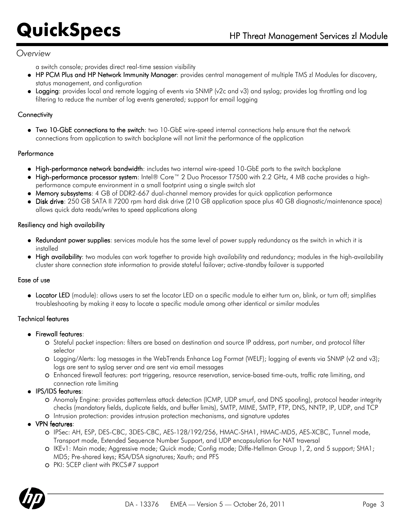## *Overview*

a switch console; provides direct real-time session visibility

- HP PCM Plus and HP Network Immunity Manager: provides central management of multiple TMS zl Modules for discovery, status management, and configuration
- Logging: provides local and remote logging of events via SNMP (v2c and v3) and syslog; provides log throttling and log filtering to reduce the number of log events generated; support for email logging

### **Connectivity**

Two 10-GbE connections to the switch: two 10-GbE wire-speed internal connections help ensure that the network connections from application to switch backplane will not limit the performance of the application

### Performance

- High-performance network bandwidth: includes two internal wire-speed 10-GbE ports to the switch backplane
- High-performance processor system: Intel® Core™ 2 Duo Processor T7500 with 2.2 GHz, 4 MB cache provides a highperformance compute environment in a small footprint using a single switch slot
- Memory subsystems: 4 GB of DDR2-667 dual-channel memory provides for quick application performance
- Disk drive: 250 GB SATA II 7200 rpm hard disk drive (210 GB application space plus 40 GB diagnostic/maintenance space) allows quick data reads/writes to speed applications along

### Resiliency and high availability

- Redundant power supplies: services module has the same level of power supply redundancy as the switch in which it is installed
- High availability: two modules can work together to provide high availability and redundancy; modules in the high-availability cluster share connection state information to provide stateful failover; active-standby failover is supported

## Ease of use

Locator LED (module): allows users to set the locator LED on a specific module to either turn on, blink, or turn off; simplifies troubleshooting by making it easy to locate a specific module among other identical or similar modules

## Technical features

- **•** Firewall features:
	- Stateful packet inspection: filters are based on destination and source IP address, port number, and protocol filter selector
	- Logging/Alerts: log messages in the WebTrends Enhance Log Format (WELF); logging of events via SNMP (v2 and v3); logs are sent to syslog server and are sent via email messages
	- Enhanced firewall features: port triggering, resource reservation, service-based time-outs, traffic rate limiting, and connection rate limiting
- IPS/IDS features:
	- Anomaly Engine: provides patternless attack detection (ICMP, UDP smurf, and DNS spoofing), protocol header integrity checks (mandatory fields, duplicate fields, and buffer limits), SMTP, MIME, SMTP, FTP, DNS, NNTP, IP, UDP, and TCP
	- Intrusion protection: provides intrusion protection mechanisms, and signature updates
- VPN features:
	- IPSec: AH, ESP, DES-CBC, 3DES-CBC, AES-128/192/256, HMAC-SHA1, HMAC-MD5, AES-XCBC, Tunnel mode, Transport mode, Extended Sequence Number Support, and UDP encapsulation for NAT traversal
	- IKEv1: Main mode; Aggressive mode; Quick mode; Config mode; Diffe-Hellman Group 1, 2, and 5 support; SHA1; MD5; Pre-shared keys; RSA/DSA signatures; Xauth; and PFS
	- PKI: SCEP client with PKCS#7 support

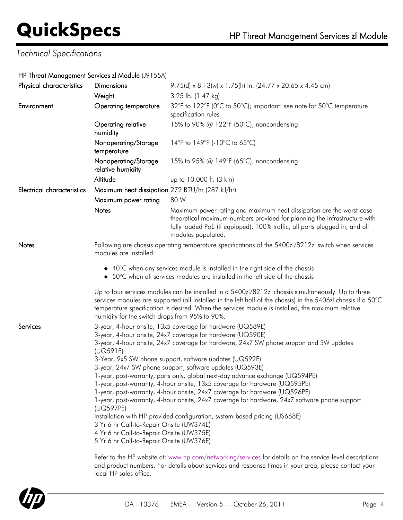# *Technical Specifications*

### HP Threat Management Services zl Module (J9155A)

| <b>Dimensions</b>                                                                                                                                                                                                                                                                                                                                                                                                                                                                                                                                                                                                                                                                                                                                                                                                                                                                                                                                                                                                                                                                                                                                       | 9.75(d) x 8.13(w) x 1.75(h) in. (24.77 x 20.65 x 4.45 cm)                                                                                                                                                                                                                                                                                                                                                                                                                                     |  |
|---------------------------------------------------------------------------------------------------------------------------------------------------------------------------------------------------------------------------------------------------------------------------------------------------------------------------------------------------------------------------------------------------------------------------------------------------------------------------------------------------------------------------------------------------------------------------------------------------------------------------------------------------------------------------------------------------------------------------------------------------------------------------------------------------------------------------------------------------------------------------------------------------------------------------------------------------------------------------------------------------------------------------------------------------------------------------------------------------------------------------------------------------------|-----------------------------------------------------------------------------------------------------------------------------------------------------------------------------------------------------------------------------------------------------------------------------------------------------------------------------------------------------------------------------------------------------------------------------------------------------------------------------------------------|--|
| Weight                                                                                                                                                                                                                                                                                                                                                                                                                                                                                                                                                                                                                                                                                                                                                                                                                                                                                                                                                                                                                                                                                                                                                  | 3.25 lb. (1.47 kg)                                                                                                                                                                                                                                                                                                                                                                                                                                                                            |  |
| <b>Operating temperature</b>                                                                                                                                                                                                                                                                                                                                                                                                                                                                                                                                                                                                                                                                                                                                                                                                                                                                                                                                                                                                                                                                                                                            | 32°F to 122°F (0°C to 50°C); important: see note for 50°C temperature<br>specification rules                                                                                                                                                                                                                                                                                                                                                                                                  |  |
| Operating relative<br>humidity                                                                                                                                                                                                                                                                                                                                                                                                                                                                                                                                                                                                                                                                                                                                                                                                                                                                                                                                                                                                                                                                                                                          | 15% to 90% @ 122°F (50°C), noncondensing                                                                                                                                                                                                                                                                                                                                                                                                                                                      |  |
| Nonoperating/Storage<br>temperature                                                                                                                                                                                                                                                                                                                                                                                                                                                                                                                                                                                                                                                                                                                                                                                                                                                                                                                                                                                                                                                                                                                     | 14°F to 149°F (-10°C to 65°C)                                                                                                                                                                                                                                                                                                                                                                                                                                                                 |  |
| Nonoperating/Storage<br>relative humidity                                                                                                                                                                                                                                                                                                                                                                                                                                                                                                                                                                                                                                                                                                                                                                                                                                                                                                                                                                                                                                                                                                               | 15% to 95% $@$ 149°F (65°C), noncondensing                                                                                                                                                                                                                                                                                                                                                                                                                                                    |  |
| Altitude                                                                                                                                                                                                                                                                                                                                                                                                                                                                                                                                                                                                                                                                                                                                                                                                                                                                                                                                                                                                                                                                                                                                                | up to 10,000 ft. (3 km)                                                                                                                                                                                                                                                                                                                                                                                                                                                                       |  |
|                                                                                                                                                                                                                                                                                                                                                                                                                                                                                                                                                                                                                                                                                                                                                                                                                                                                                                                                                                                                                                                                                                                                                         |                                                                                                                                                                                                                                                                                                                                                                                                                                                                                               |  |
|                                                                                                                                                                                                                                                                                                                                                                                                                                                                                                                                                                                                                                                                                                                                                                                                                                                                                                                                                                                                                                                                                                                                                         | 80 W                                                                                                                                                                                                                                                                                                                                                                                                                                                                                          |  |
| Notes                                                                                                                                                                                                                                                                                                                                                                                                                                                                                                                                                                                                                                                                                                                                                                                                                                                                                                                                                                                                                                                                                                                                                   | Maximum power rating and maximum heat dissipation are the worst-case<br>theoretical maximum numbers provided for planning the infrastructure with<br>fully loaded PoE (if equipped), 100% traffic, all ports plugged in, and all<br>modules populated.                                                                                                                                                                                                                                        |  |
| Following are chassis operating temperature specifications of the 5400zl/8212zl switch when services<br>modules are installed:                                                                                                                                                                                                                                                                                                                                                                                                                                                                                                                                                                                                                                                                                                                                                                                                                                                                                                                                                                                                                          |                                                                                                                                                                                                                                                                                                                                                                                                                                                                                               |  |
| humidity for the switch drops from 95% to 90%.                                                                                                                                                                                                                                                                                                                                                                                                                                                                                                                                                                                                                                                                                                                                                                                                                                                                                                                                                                                                                                                                                                          | • 40°C when any services module is installed in the right side of the chassis<br>• 50°C when all services modules are installed in the left side of the chassis<br>Up to four services modules can be installed in a 5400zl/8212zl chassis simultaneously. Up to three<br>services modules are supported (all installed in the left half of the chassis) in the 5406zl chassis if a 50°C<br>temperature specification is desired. When the services module is installed, the maximum relative |  |
| 3-year, 4-hour onsite, 13x5 coverage for hardware (UQ589E)<br>3-year, 4-hour onsite, 24x7 coverage for hardware (UQ590E)<br>3-year, 4-hour onsite, 24x7 coverage for hardware, 24x7 SW phone support and SW updates<br>(UQ591E)<br>3-Year, 9x5 SW phone support, software updates (UQ592E)<br>3-year, 24x7 SW phone support, software updates (UQ593E)<br>1-year, post-warranty, parts only, global next-day advance exchange (UQ594PE)<br>1-year, post-warranty, 4-hour onsite, 13x5 coverage for hardware (UQ595PE)<br>1-year, post-warranty, 4-hour onsite, 24x7 coverage for hardware (UQ596PE)<br>1-year, post-warranty, 4-hour onsite, 24x7 coverage for hardware, 24x7 software phone support<br>(UQ597PE)<br>Installation with HP-provided configuration, system-based pricing (US668E)<br>3 Yr 6 hr Call-to-Repair Onsite (UW374E)<br>4 Yr 6 hr Call-to-Repair Onsite (UW375E)<br>5 Yr 6 hr Call-to-Repair Onsite (UW376E)<br>Refer to the HP website at: www.hp.com/networking/services for details on the service-level descriptions<br>and product numbers. For details about services and response times in your area, please contact your |                                                                                                                                                                                                                                                                                                                                                                                                                                                                                               |  |
|                                                                                                                                                                                                                                                                                                                                                                                                                                                                                                                                                                                                                                                                                                                                                                                                                                                                                                                                                                                                                                                                                                                                                         | Maximum heat dissipation 272 BTU/hr (287 kJ/hr)<br>Maximum power rating                                                                                                                                                                                                                                                                                                                                                                                                                       |  |



local HP sales office.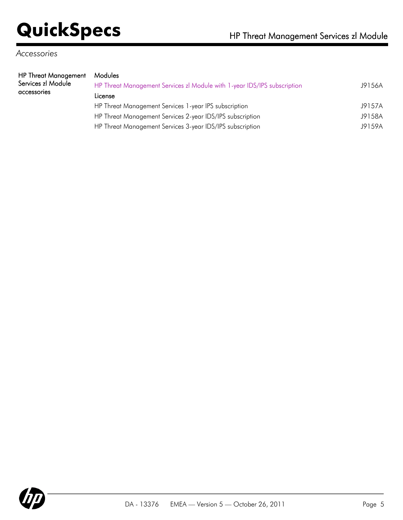# *Accessories*

| HP Threat Management | Modules                                                                  |        |
|----------------------|--------------------------------------------------------------------------|--------|
| Services zl Module   | HP Threat Management Services zl Module with 1-year IDS/IPS subscription | J9156A |
| accessories          | License                                                                  |        |
|                      |                                                                          | 10157A |

HP Threat Management Services 1-year IPS subscription J9157A HP Threat Management Services 2-year IDS/IPS subscription J9158A HP Threat Management Services 3-year IDS/IPS subscription J9159A

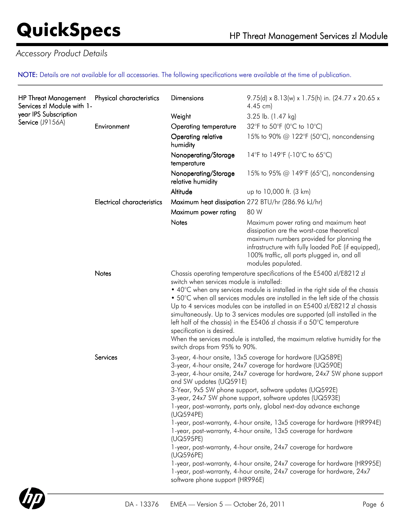# *Accessory Product Details*

NOTE: Details are not available for all accessories. The following specifications were available at the time of publication.

| <b>HP Threat Management</b><br>Services zl Module with 1-<br>year IPS Subscription<br>Service (J9156A) | Physical characteristics          | <b>Dimensions</b>                                                                                                                                                                                                                                                                                                                                                                                                                                                                                                                                                                                                                                                                                                                                                                                                                                                                                                    | 9.75(d) x 8.13(w) x 1.75(h) in. (24.77 x 20.65 x<br>$4.45$ cm)                                                                                                                                                                                               |
|--------------------------------------------------------------------------------------------------------|-----------------------------------|----------------------------------------------------------------------------------------------------------------------------------------------------------------------------------------------------------------------------------------------------------------------------------------------------------------------------------------------------------------------------------------------------------------------------------------------------------------------------------------------------------------------------------------------------------------------------------------------------------------------------------------------------------------------------------------------------------------------------------------------------------------------------------------------------------------------------------------------------------------------------------------------------------------------|--------------------------------------------------------------------------------------------------------------------------------------------------------------------------------------------------------------------------------------------------------------|
|                                                                                                        |                                   | Weight                                                                                                                                                                                                                                                                                                                                                                                                                                                                                                                                                                                                                                                                                                                                                                                                                                                                                                               | 3.25 lb. (1.47 kg)                                                                                                                                                                                                                                           |
|                                                                                                        | Environment                       | Operating temperature                                                                                                                                                                                                                                                                                                                                                                                                                                                                                                                                                                                                                                                                                                                                                                                                                                                                                                | 32°F to 50°F (0°C to 10°C)                                                                                                                                                                                                                                   |
|                                                                                                        |                                   | Operating relative<br>humidity                                                                                                                                                                                                                                                                                                                                                                                                                                                                                                                                                                                                                                                                                                                                                                                                                                                                                       | 15% to 90% @ 122°F (50°C), noncondensing                                                                                                                                                                                                                     |
|                                                                                                        |                                   | Nonoperating/Storage<br>temperature                                                                                                                                                                                                                                                                                                                                                                                                                                                                                                                                                                                                                                                                                                                                                                                                                                                                                  | 14°F to 149°F (-10°C to 65°C)                                                                                                                                                                                                                                |
|                                                                                                        |                                   | Nonoperating/Storage<br>relative humidity                                                                                                                                                                                                                                                                                                                                                                                                                                                                                                                                                                                                                                                                                                                                                                                                                                                                            | 15% to 95% @ 149°F (65°C), noncondensing                                                                                                                                                                                                                     |
|                                                                                                        |                                   | Altitude                                                                                                                                                                                                                                                                                                                                                                                                                                                                                                                                                                                                                                                                                                                                                                                                                                                                                                             | up to 10,000 ft. (3 km)                                                                                                                                                                                                                                      |
|                                                                                                        | <b>Electrical characteristics</b> |                                                                                                                                                                                                                                                                                                                                                                                                                                                                                                                                                                                                                                                                                                                                                                                                                                                                                                                      | Maximum heat dissipation 272 BTU/hr (286.96 kJ/hr)                                                                                                                                                                                                           |
|                                                                                                        |                                   | Maximum power rating                                                                                                                                                                                                                                                                                                                                                                                                                                                                                                                                                                                                                                                                                                                                                                                                                                                                                                 | 80 W                                                                                                                                                                                                                                                         |
|                                                                                                        |                                   | Notes                                                                                                                                                                                                                                                                                                                                                                                                                                                                                                                                                                                                                                                                                                                                                                                                                                                                                                                | Maximum power rating and maximum heat<br>dissipation are the worst-case theoretical<br>maximum numbers provided for planning the<br>infrastructure with fully loaded PoE (if equipped),<br>100% traffic, all ports plugged in, and all<br>modules populated. |
|                                                                                                        | Notes                             | Chassis operating temperature specifications of the E5400 zl/E8212 zl<br>switch when services module is installed:<br>• 40°C when any services module is installed in the right side of the chassis<br>• 50°C when all services modules are installed in the left side of the chassis<br>Up to 4 services modules can be installed in an E5400 zl/E8212 zl chassis<br>simultaneously. Up to 3 services modules are supported (all installed in the<br>left half of the chassis) in the E5406 zl chassis if a 50 $\degree$ C temperature<br>When the services module is installed, the maximum relative humidity for the                                                                                                                                                                                                                                                                                              |                                                                                                                                                                                                                                                              |
|                                                                                                        | Services                          | switch drops from 95% to 90%.<br>3-year, 4-hour onsite, 13x5 coverage for hardware (UQ589E)<br>3-year, 4-hour onsite, 24x7 coverage for hardware (UQ590E)<br>3-year, 4-hour onsite, 24x7 coverage for hardware, 24x7 SW phone support<br>and SW updates (UQ591E)<br>3-Year, 9x5 SW phone support, software updates (UQ592E)<br>3-year, 24x7 SW phone support, software updates (UQ593E)<br>1-year, post-warranty, parts only, global next-day advance exchange<br>(UQ594PE)<br>1-year, post-warranty, 4-hour onsite, 13x5 coverage for hardware (HR994E)<br>1-year, post-warranty, 4-hour onsite, 13x5 coverage for hardware<br>(UQ595PE)<br>1-year, post-warranty, 4-hour onsite, 24x7 coverage for hardware<br>(UQ596PE)<br>1-year, post-warranty, 4-hour onsite, 24x7 coverage for hardware (HR995E)<br>1-year, post-warranty, 4-hour onsite, 24x7 coverage for hardware, 24x7<br>software phone support (HR996E) |                                                                                                                                                                                                                                                              |